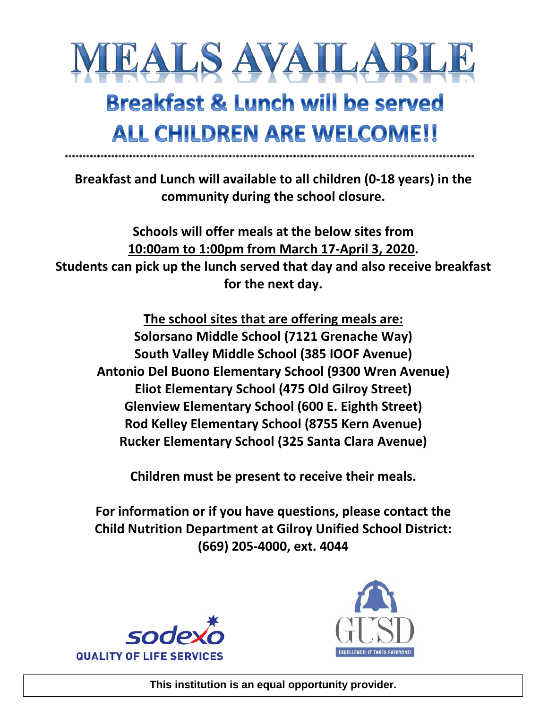

## **Breakfast & Lunch will be served ALL CHILDREN ARE WELCOME!!**

**Breakfast and Lunch will available to all children (0-18 years) in the community during the school closure.** 

**\*\*\*\*\*\*\*\*\*\*\*\*\*\*\*\*\*\*\*\*\*\*\*\*\*\*\*\*\*\*\*\*\*\*\*\*\*\*\*\*\*\*\*\*\*\*\*\*\*\*\*\*\*\*\*\*\*\*\*\*\*\*\*\*\*\*\*\*\*\*\*\*\*\*\*\*\*\*\*\*\*\*\*\*\*\*\*\*\*\*\*\*\*\*\*\*\*\*\*\*\*\*\*\*\*\*\*\*\*\*\*\*\*\*\***

**Schools will offer meals at the below sites from 10:00am to 1:00pm from March 17-April 3, 2020. Students can pick up the lunch served that day and also receive breakfast for the next day.** 

**The school sites that are offering meals are: Solorsano Middle School (7121 Grenache Way) South Valley Middle School (385 IOOF Avenue) Antonio Del Buono Elementary School (9300 Wren Avenue) Eliot Elementary School (475 Old Gilroy Street) Glenview Elementary School (600 E. Eighth Street) Rod Kelley Elementary School (8755 Kern Avenue) Rucker Elementary School (325 Santa Clara Avenue)**

**Children must be present to receive their meals.** 

**For information or if you have questions, please contact the Child Nutrition Department at Gilroy Unified School District: (669) 205-4000, ext. 4044**





**This institution is an equal opportunity provider.**